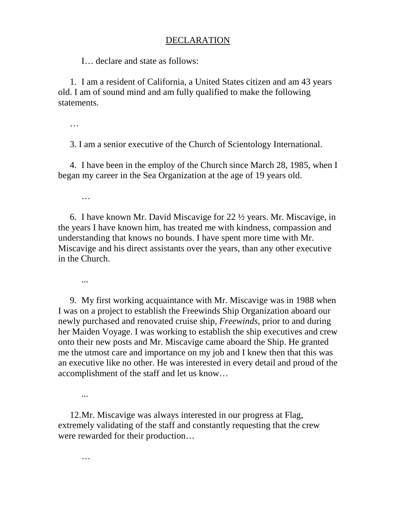## DECLARATION

I… declare and state as follows:

1. I am a resident of California, a United States citizen and am 43 years old. I am of sound mind and am fully qualified to make the following statements.

…

3. I am a senior executive of the Church of Scientology International.

4. I have been in the employ of the Church since March 28, 1985, when I began my career in the Sea Organization at the age of 19 years old.

…

6. I have known Mr. David Miscavige for 22 ½ years. Mr. Miscavige, in the years I have known him, has treated me with kindness, compassion and understanding that knows no bounds. I have spent more time with Mr. Miscavige and his direct assistants over the years, than any other executive in the Church.

...

9. My first working acquaintance with Mr. Miscavige was in 1988 when I was on a project to establish the Freewinds Ship Organization aboard our newly purchased and renovated cruise ship, *Freewinds*, prior to and during her Maiden Voyage. I was working to establish the ship executives and crew onto their new posts and Mr. Miscavige came aboard the Ship. He granted me the utmost care and importance on my job and I knew then that this was an executive like no other. He was interested in every detail and proud of the accomplishment of the staff and let us know…

...

12. Mr. Miscavige was always interested in our progress at Flag, extremely validating of the staff and constantly requesting that the crew were rewarded for their production…

…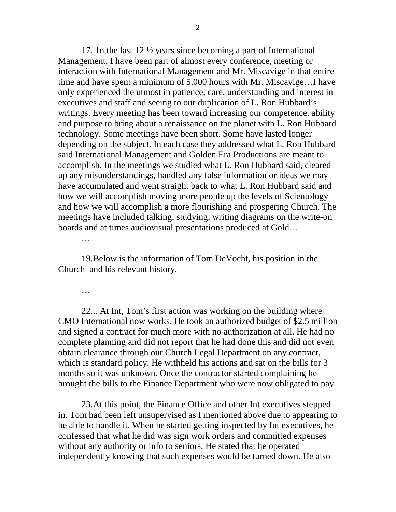17. 1n the last 12 ½ years since becoming a part of International Management, I have been part of almost every conference, meeting or interaction with International Management and Mr. Miscavige in that entire time and have spent a minimum of 5,000 hours with Mr. Miscavige…I have only experienced the utmost in patience, care, understanding and interest in executives and staff and seeing to our duplication of L. Ron Hubbard's writings. Every meeting has been toward increasing our competence, ability and purpose to bring about a renaissance on the planet with L. Ron Hubbard technology. Some meetings have been short. Some have lasted longer depending on the subject. In each case they addressed what L. Ron Hubbard said International Management and Golden Era Productions are meant to accomplish. In the meetings we studied what L. Ron Hubbard said, cleared up any misunderstandings, handled any false information or ideas we may have accumulated and went straight back to what L. Ron Hubbard said and how we will accomplish moving more people up the levels of Scientology and how we will accomplish a more flourishing and prospering Church. The meetings have included talking, studying, writing diagrams on the write-on boards and at times audiovisual presentations produced at Gold…

…

19. Below is the information of Tom DeVocht, his position in the Church and his relevant history.

…

22. .. At Int, Tom's first action was working on the building where CMO International now works. He took an authorized budget of \$2.5 million and signed a contract for much more with no authorization at all. He had no complete planning and did not report that he had done this and did not even obtain clearance through our Church Legal Department on any contract, which is standard policy. He withheld his actions and sat on the bills for 3 months so it was unknown. Once the contractor started complaining he brought the bills to the Finance Department who were now obligated to pay.

23. At this point, the Finance Office and other Int executives stepped in. Tom had been left unsupervised as I mentioned above due to appearing to be able to handle it. When he started getting inspected by Int executives, he confessed that what he did was sign work orders and committed expenses without any authority or info to seniors. He stated that he operated independently knowing that such expenses would be turned down. He also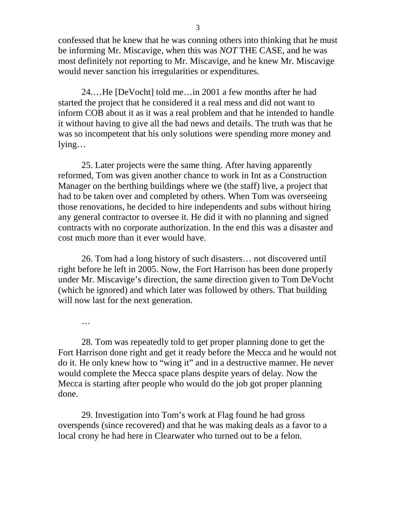confessed that he knew that he was conning others into thinking that he must be informing Mr. Miscavige, when this was *NOT* THE CASE, and he was most definitely not reporting to Mr. Miscavige, and he knew Mr. Miscavige would never sanction his irregularities or expenditures.

24. …He [DeVocht] told me…in 2001 a few months after he had started the project that he considered it a real mess and did not want to inform COB about it as it was a real problem and that he intended to handle it without having to give all the bad news and details. The truth was that he was so incompetent that his only solutions were spending more money and lying…

25. Later projects were the same thing. After having apparently reformed, Tom was given another chance to work in Int as a Construction Manager on the berthing buildings where we (the staff) live, a project that had to be taken over and completed by others. When Tom was overseeing those renovations, he decided to hire independents and subs without hiring any general contractor to oversee it. He did it with no planning and signed contracts with no corporate authorization. In the end this was a disaster and cost much more than it ever would have.

26. Tom had a long history of such disasters… not discovered until right before he left in 2005. Now, the Fort Harrison has been done properly under Mr. Miscavige's direction, the same direction given to Tom DeVocht (which he ignored) and which later was followed by others. That building will now last for the next generation.

…

28. Tom was repeatedly told to get proper planning done to get the Fort Harrison done right and get it ready before the Mecca and he would not do it. He only knew how to "wing it" and in a destructive manner. He never would complete the Mecca space plans despite years of delay. Now the Mecca is starting after people who would do the job got proper planning done.

29. Investigation into Tom's work at Flag found he had gross overspends (since recovered) and that he was making deals as a favor to a local crony he had here in Clearwater who turned out to be a felon.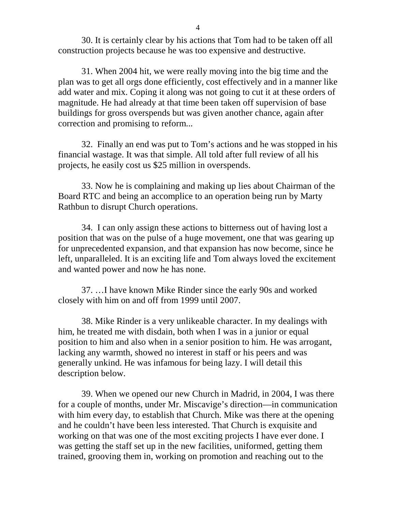30. It is certainly clear by his actions that Tom had to be taken off all construction projects because he was too expensive and destructive.

31. When 2004 hit, we were really moving into the big time and the plan was to get all orgs done efficiently, cost effectively and in a manner like add water and mix. Coping it along was not going to cut it at these orders of magnitude. He had already at that time been taken off supervision of base buildings for gross overspends but was given another chance, again after correction and promising to reform...

32. Finally an end was put to Tom's actions and he was stopped in his financial wastage. It was that simple. All told after full review of all his projects, he easily cost us \$25 million in overspends.

33. Now he is complaining and making up lies about Chairman of the Board RTC and being an accomplice to an operation being run by Marty Rathbun to disrupt Church operations.

34. I can only assign these actions to bitterness out of having lost a position that was on the pulse of a huge movement, one that was gearing up for unprecedented expansion, and that expansion has now become, since he left, unparalleled. It is an exciting life and Tom always loved the excitement and wanted power and now he has none.

37. …I have known Mike Rinder since the early 90s and worked closely with him on and off from 1999 until 2007.

38. Mike Rinder is a very unlikeable character. In my dealings with him, he treated me with disdain, both when I was in a junior or equal position to him and also when in a senior position to him. He was arrogant, lacking any warmth, showed no interest in staff or his peers and was generally unkind. He was infamous for being lazy. I will detail this description below.

39. When we opened our new Church in Madrid, in 2004, I was there for a couple of months, under Mr. Miscavige's direction—in communication with him every day, to establish that Church. Mike was there at the opening and he couldn't have been less interested. That Church is exquisite and working on that was one of the most exciting projects I have ever done. I was getting the staff set up in the new facilities, uniformed, getting them trained, grooving them in, working on promotion and reaching out to the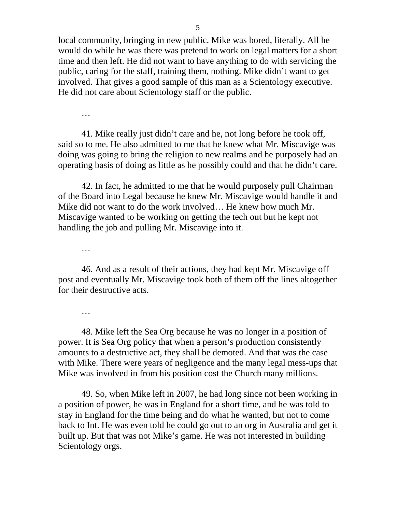local community, bringing in new public. Mike was bored, literally. All he would do while he was there was pretend to work on legal matters for a short time and then left. He did not want to have anything to do with servicing the public, caring for the staff, training them, nothing. Mike didn't want to get involved. That gives a good sample of this man as a Scientology executive. He did not care about Scientology staff or the public.

…

41. Mike really just didn't care and he, not long before he took off, said so to me. He also admitted to me that he knew what Mr. Miscavige was doing was going to bring the religion to new realms and he purposely had an operating basis of doing as little as he possibly could and that he didn't care.

42. In fact, he admitted to me that he would purposely pull Chairman of the Board into Legal because he knew Mr. Miscavige would handle it and Mike did not want to do the work involved… He knew how much Mr. Miscavige wanted to be working on getting the tech out but he kept not handling the job and pulling Mr. Miscavige into it.

…

46. And as a result of their actions, they had kept Mr. Miscavige off post and eventually Mr. Miscavige took both of them off the lines altogether for their destructive acts.

…

48. Mike left the Sea Org because he was no longer in a position of power. It is Sea Org policy that when a person's production consistently amounts to a destructive act, they shall be demoted. And that was the case with Mike. There were years of negligence and the many legal mess-ups that Mike was involved in from his position cost the Church many millions.

49. So, when Mike left in 2007, he had long since not been working in a position of power, he was in England for a short time, and he was told to stay in England for the time being and do what he wanted, but not to come back to Int. He was even told he could go out to an org in Australia and get it built up. But that was not Mike's game. He was not interested in building Scientology orgs.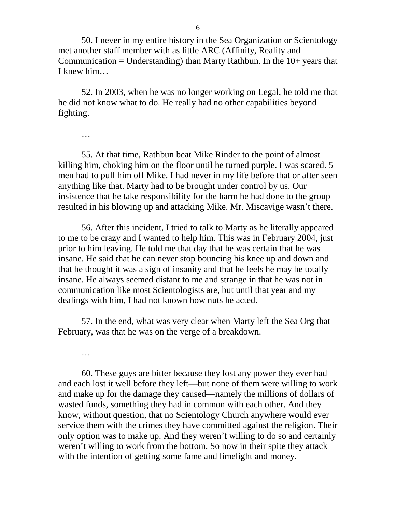50. I never in my entire history in the Sea Organization or Scientology met another staff member with as little ARC (Affinity, Reality and Communication = Understanding) than Marty Rathbun. In the  $10+$  years that I knew him…

52. In 2003, when he was no longer working on Legal, he told me that he did not know what to do. He really had no other capabilities beyond fighting.

…

55. At that time, Rathbun beat Mike Rinder to the point of almost killing him, choking him on the floor until he turned purple. I was scared. 5 men had to pull him off Mike. I had never in my life before that or after seen anything like that. Marty had to be brought under control by us. Our insistence that he take responsibility for the harm he had done to the group resulted in his blowing up and attacking Mike. Mr. Miscavige wasn't there.

56. After this incident, I tried to talk to Marty as he literally appeared to me to be crazy and I wanted to help him. This was in February 2004, just prior to him leaving. He told me that day that he was certain that he was insane. He said that he can never stop bouncing his knee up and down and that he thought it was a sign of insanity and that he feels he may be totally insane. He always seemed distant to me and strange in that he was not in communication like most Scientologists are, but until that year and my dealings with him, I had not known how nuts he acted.

57. In the end, what was very clear when Marty left the Sea Org that February, was that he was on the verge of a breakdown.

…

60. These guys are bitter because they lost any power they ever had and each lost it well before they left—but none of them were willing to work and make up for the damage they caused—namely the millions of dollars of wasted funds, something they had in common with each other. And they know, without question, that no Scientology Church anywhere would ever service them with the crimes they have committed against the religion. Their only option was to make up. And they weren't willing to do so and certainly weren't willing to work from the bottom. So now in their spite they attack with the intention of getting some fame and limelight and money.